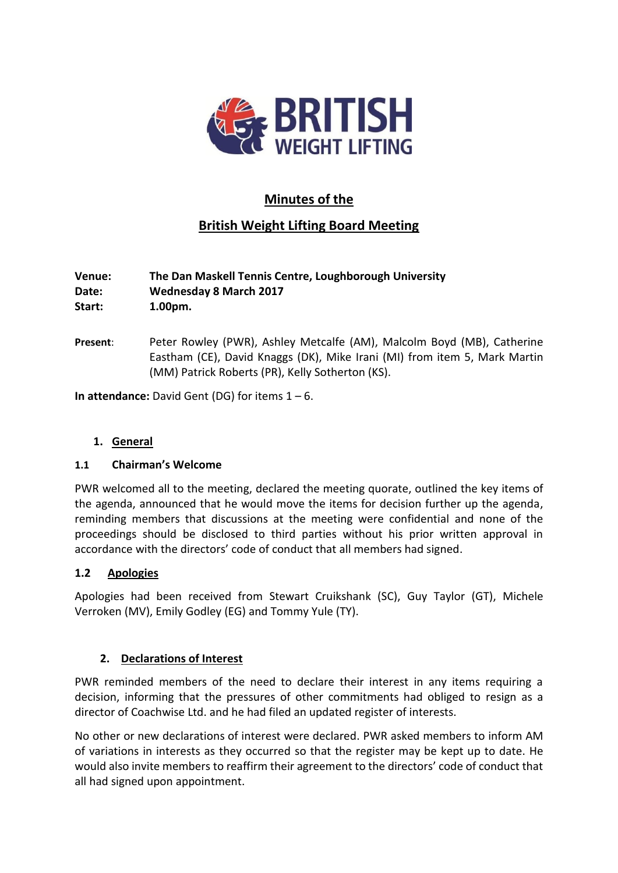

# **Minutes of the**

# **British Weight Lifting Board Meeting**

## **Venue: The Dan Maskell Tennis Centre, Loughborough University Date: Wednesday 8 March 2017 Start: 1.00pm.**

**Present**: Peter Rowley (PWR), Ashley Metcalfe (AM), Malcolm Boyd (MB), Catherine Eastham (CE), David Knaggs (DK), Mike Irani (MI) from item 5, Mark Martin (MM) Patrick Roberts (PR), Kelly Sotherton (KS).

**In attendance:** David Gent (DG) for items 1 – 6.

## **1. General**

## **1.1 Chairman's Welcome**

PWR welcomed all to the meeting, declared the meeting quorate, outlined the key items of the agenda, announced that he would move the items for decision further up the agenda, reminding members that discussions at the meeting were confidential and none of the proceedings should be disclosed to third parties without his prior written approval in accordance with the directors' code of conduct that all members had signed.

## **1.2 Apologies**

Apologies had been received from Stewart Cruikshank (SC), Guy Taylor (GT), Michele Verroken (MV), Emily Godley (EG) and Tommy Yule (TY).

## **2. Declarations of Interest**

PWR reminded members of the need to declare their interest in any items requiring a decision, informing that the pressures of other commitments had obliged to resign as a director of Coachwise Ltd. and he had filed an updated register of interests.

No other or new declarations of interest were declared. PWR asked members to inform AM of variations in interests as they occurred so that the register may be kept up to date. He would also invite members to reaffirm their agreement to the directors' code of conduct that all had signed upon appointment.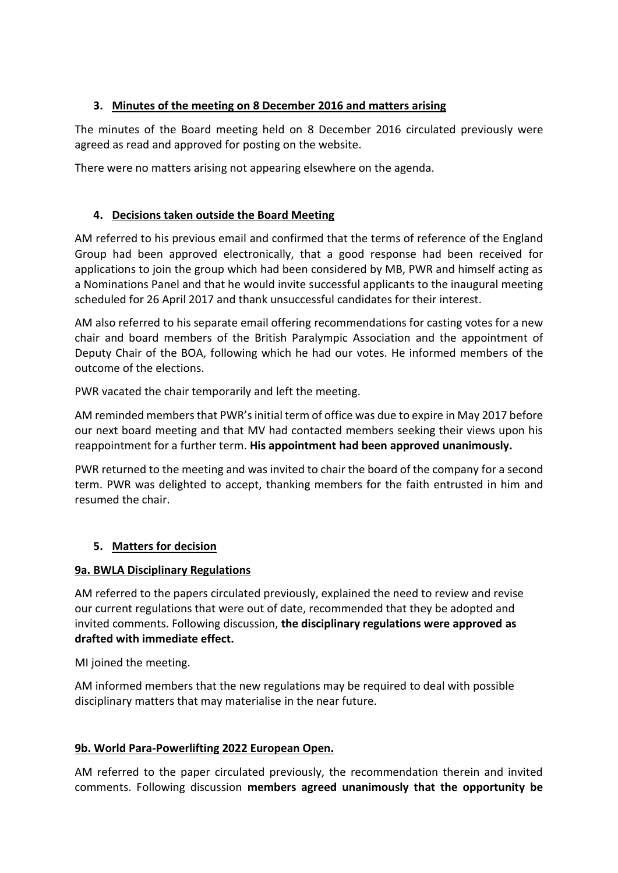## **3. Minutes of the meeting on 8 December 2016 and matters arising**

The minutes of the Board meeting held on 8 December 2016 circulated previously were agreed as read and approved for posting on the website.

There were no matters arising not appearing elsewhere on the agenda.

## **4. Decisions taken outside the Board Meeting**

AM referred to his previous email and confirmed that the terms of reference of the England Group had been approved electronically, that a good response had been received for applications to join the group which had been considered by MB, PWR and himself acting as a Nominations Panel and that he would invite successful applicants to the inaugural meeting scheduled for 26 April 2017 and thank unsuccessful candidates for their interest.

AM also referred to his separate email offering recommendations for casting votes for a new chair and board members of the British Paralympic Association and the appointment of Deputy Chair of the BOA, following which he had our votes. He informed members of the outcome of the elections.

PWR vacated the chair temporarily and left the meeting.

AM reminded members that PWR's initial term of office was due to expire in May 2017 before our next board meeting and that MV had contacted members seeking their views upon his reappointment for a further term. **His appointment had been approved unanimously.**

PWR returned to the meeting and was invited to chair the board of the company for a second term. PWR was delighted to accept, thanking members for the faith entrusted in him and resumed the chair.

## **5. Matters for decision**

## **9a. BWLA Disciplinary Regulations**

AM referred to the papers circulated previously, explained the need to review and revise our current regulations that were out of date, recommended that they be adopted and invited comments. Following discussion, **the disciplinary regulations were approved as drafted with immediate effect.**

MI joined the meeting.

AM informed members that the new regulations may be required to deal with possible disciplinary matters that may materialise in the near future.

## **9b. World Para-Powerlifting 2022 European Open.**

AM referred to the paper circulated previously, the recommendation therein and invited comments. Following discussion **members agreed unanimously that the opportunity be**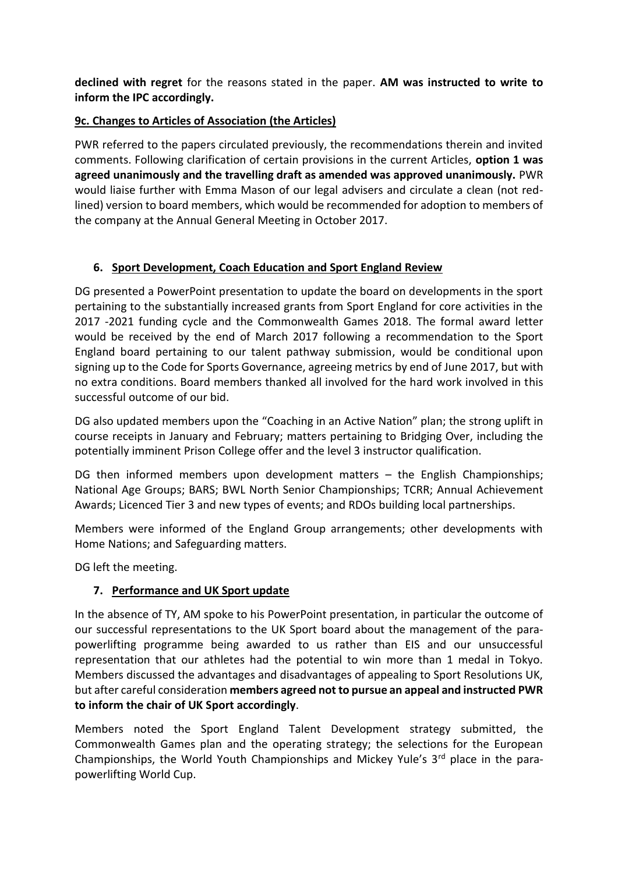**declined with regret** for the reasons stated in the paper. **AM was instructed to write to inform the IPC accordingly.**

## **9c. Changes to Articles of Association (the Articles)**

PWR referred to the papers circulated previously, the recommendations therein and invited comments. Following clarification of certain provisions in the current Articles, **option 1 was agreed unanimously and the travelling draft as amended was approved unanimously.** PWR would liaise further with Emma Mason of our legal advisers and circulate a clean (not redlined) version to board members, which would be recommended for adoption to members of the company at the Annual General Meeting in October 2017.

## **6. Sport Development, Coach Education and Sport England Review**

DG presented a PowerPoint presentation to update the board on developments in the sport pertaining to the substantially increased grants from Sport England for core activities in the 2017 -2021 funding cycle and the Commonwealth Games 2018. The formal award letter would be received by the end of March 2017 following a recommendation to the Sport England board pertaining to our talent pathway submission, would be conditional upon signing up to the Code for Sports Governance, agreeing metrics by end of June 2017, but with no extra conditions. Board members thanked all involved for the hard work involved in this successful outcome of our bid.

DG also updated members upon the "Coaching in an Active Nation" plan; the strong uplift in course receipts in January and February; matters pertaining to Bridging Over, including the potentially imminent Prison College offer and the level 3 instructor qualification.

DG then informed members upon development matters – the English Championships; National Age Groups; BARS; BWL North Senior Championships; TCRR; Annual Achievement Awards; Licenced Tier 3 and new types of events; and RDOs building local partnerships.

Members were informed of the England Group arrangements; other developments with Home Nations; and Safeguarding matters.

DG left the meeting.

## **7. Performance and UK Sport update**

In the absence of TY, AM spoke to his PowerPoint presentation, in particular the outcome of our successful representations to the UK Sport board about the management of the parapowerlifting programme being awarded to us rather than EIS and our unsuccessful representation that our athletes had the potential to win more than 1 medal in Tokyo. Members discussed the advantages and disadvantages of appealing to Sport Resolutions UK, but after careful consideration **members agreed not to pursue an appeal and instructed PWR to inform the chair of UK Sport accordingly**.

Members noted the Sport England Talent Development strategy submitted, the Commonwealth Games plan and the operating strategy; the selections for the European Championships, the World Youth Championships and Mickey Yule's 3rd place in the parapowerlifting World Cup.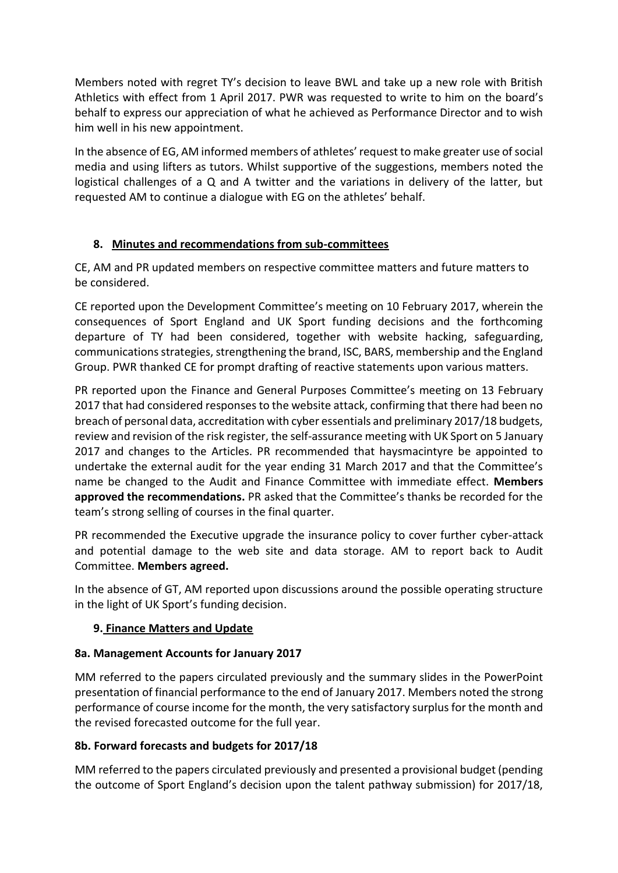Members noted with regret TY's decision to leave BWL and take up a new role with British Athletics with effect from 1 April 2017. PWR was requested to write to him on the board's behalf to express our appreciation of what he achieved as Performance Director and to wish him well in his new appointment.

In the absence of EG, AM informed members of athletes' request to make greater use of social media and using lifters as tutors. Whilst supportive of the suggestions, members noted the logistical challenges of a Q and A twitter and the variations in delivery of the latter, but requested AM to continue a dialogue with EG on the athletes' behalf.

## **8. Minutes and recommendations from sub-committees**

CE, AM and PR updated members on respective committee matters and future matters to be considered.

CE reported upon the Development Committee's meeting on 10 February 2017, wherein the consequences of Sport England and UK Sport funding decisions and the forthcoming departure of TY had been considered, together with website hacking, safeguarding, communications strategies, strengthening the brand, ISC, BARS, membership and the England Group. PWR thanked CE for prompt drafting of reactive statements upon various matters.

PR reported upon the Finance and General Purposes Committee's meeting on 13 February 2017 that had considered responses to the website attack, confirming that there had been no breach of personal data, accreditation with cyber essentials and preliminary 2017/18 budgets, review and revision of the risk register, the self-assurance meeting with UK Sport on 5 January 2017 and changes to the Articles. PR recommended that haysmacintyre be appointed to undertake the external audit for the year ending 31 March 2017 and that the Committee's name be changed to the Audit and Finance Committee with immediate effect. **Members approved the recommendations.** PR asked that the Committee's thanks be recorded for the team's strong selling of courses in the final quarter.

PR recommended the Executive upgrade the insurance policy to cover further cyber-attack and potential damage to the web site and data storage. AM to report back to Audit Committee. **Members agreed.**

In the absence of GT, AM reported upon discussions around the possible operating structure in the light of UK Sport's funding decision.

## **9. Finance Matters and Update**

## **8a. Management Accounts for January 2017**

MM referred to the papers circulated previously and the summary slides in the PowerPoint presentation of financial performance to the end of January 2017. Members noted the strong performance of course income for the month, the very satisfactory surplus for the month and the revised forecasted outcome for the full year.

## **8b. Forward forecasts and budgets for 2017/18**

MM referred to the papers circulated previously and presented a provisional budget (pending the outcome of Sport England's decision upon the talent pathway submission) for 2017/18,